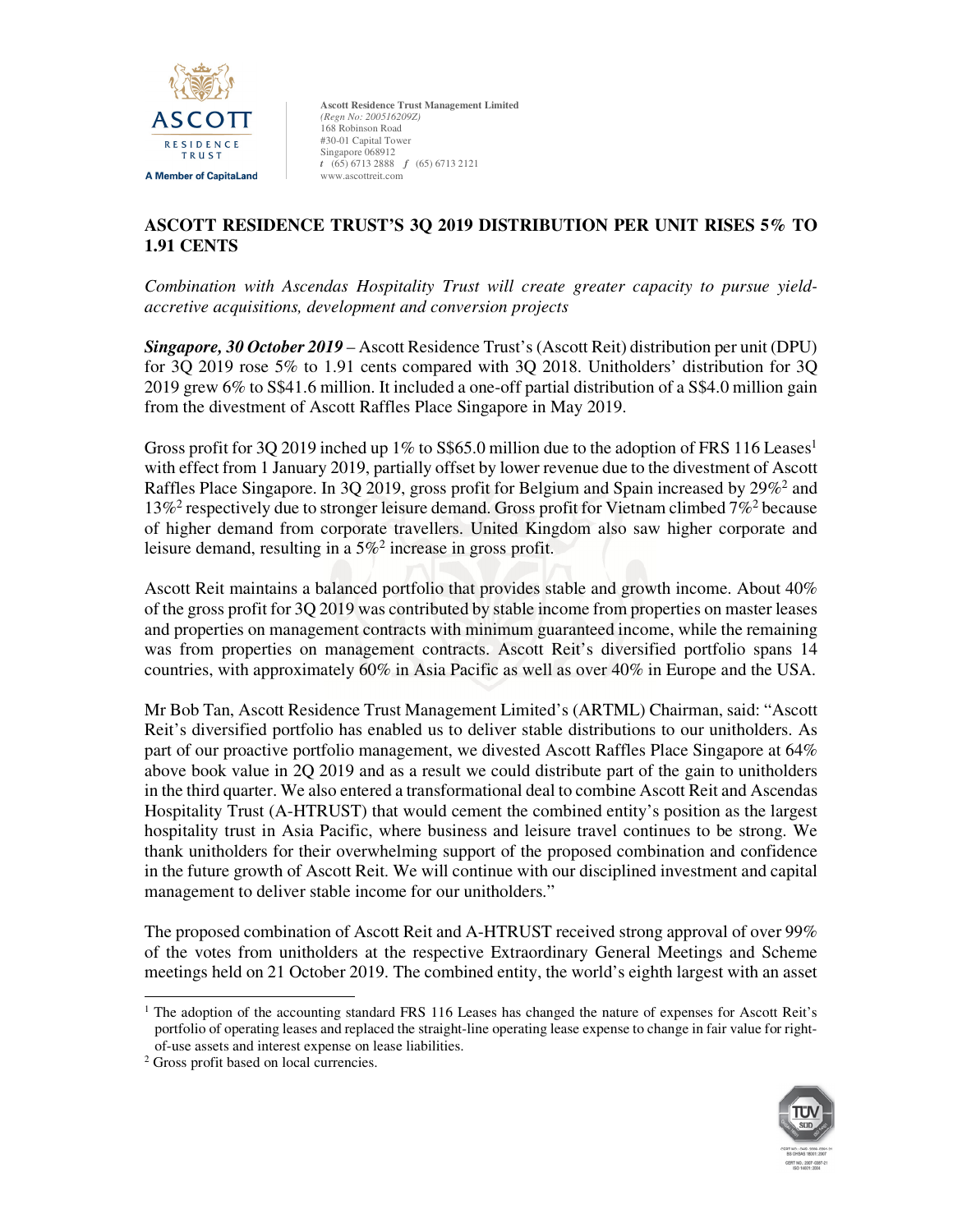

# **ASCOTT RESIDENCE TRUST'S 3Q 2019 DISTRIBUTION PER UNIT RISES 5% TO 1.91 CENTS**

*Combination with Ascendas Hospitality Trust will create greater capacity to pursue yieldaccretive acquisitions, development and conversion projects* 

*Singapore, 30 October 2019* – Ascott Residence Trust's (Ascott Reit) distribution per unit (DPU) for 3Q 2019 rose 5% to 1.91 cents compared with 3Q 2018. Unitholders' distribution for 3Q 2019 grew 6% to S\$41.6 million. It included a one-off partial distribution of a S\$4.0 million gain from the divestment of Ascott Raffles Place Singapore in May 2019.

Gross profit for 3Q 2019 inched up 1% to S\$65.0 million due to the adoption of FRS 116 Leases<sup>1</sup> with effect from 1 January 2019, partially offset by lower revenue due to the divestment of Ascott Raffles Place Singapore. In 3Q 2019, gross profit for Belgium and Spain increased by 29%<sup>2</sup> and 13%<sup>2</sup> respectively due to stronger leisure demand. Gross profit for Vietnam climbed 7%<sup>2</sup> because of higher demand from corporate travellers. United Kingdom also saw higher corporate and leisure demand, resulting in a  $5\%$ <sup>2</sup> increase in gross profit.

Ascott Reit maintains a balanced portfolio that provides stable and growth income. About 40% of the gross profit for 3Q 2019 was contributed by stable income from properties on master leases and properties on management contracts with minimum guaranteed income, while the remaining was from properties on management contracts. Ascott Reit's diversified portfolio spans 14 countries, with approximately 60% in Asia Pacific as well as over 40% in Europe and the USA.

Mr Bob Tan, Ascott Residence Trust Management Limited's (ARTML) Chairman, said: "Ascott Reit's diversified portfolio has enabled us to deliver stable distributions to our unitholders. As part of our proactive portfolio management, we divested Ascott Raffles Place Singapore at 64% above book value in 2Q 2019 and as a result we could distribute part of the gain to unitholders in the third quarter. We also entered a transformational deal to combine Ascott Reit and Ascendas Hospitality Trust (A-HTRUST) that would cement the combined entity's position as the largest hospitality trust in Asia Pacific, where business and leisure travel continues to be strong. We thank unitholders for their overwhelming support of the proposed combination and confidence in the future growth of Ascott Reit. We will continue with our disciplined investment and capital management to deliver stable income for our unitholders."

The proposed combination of Ascott Reit and A-HTRUST received strong approval of over 99% of the votes from unitholders at the respective Extraordinary General Meetings and Scheme meetings held on 21 October 2019. The combined entity, the world's eighth largest with an asset



<sup>&</sup>lt;u>.</u> <sup>1</sup> The adoption of the accounting standard FRS 116 Leases has changed the nature of expenses for Ascott Reit's portfolio of operating leases and replaced the straight-line operating lease expense to change in fair value for rightof-use assets and interest expense on lease liabilities.

<sup>2</sup> Gross profit based on local currencies.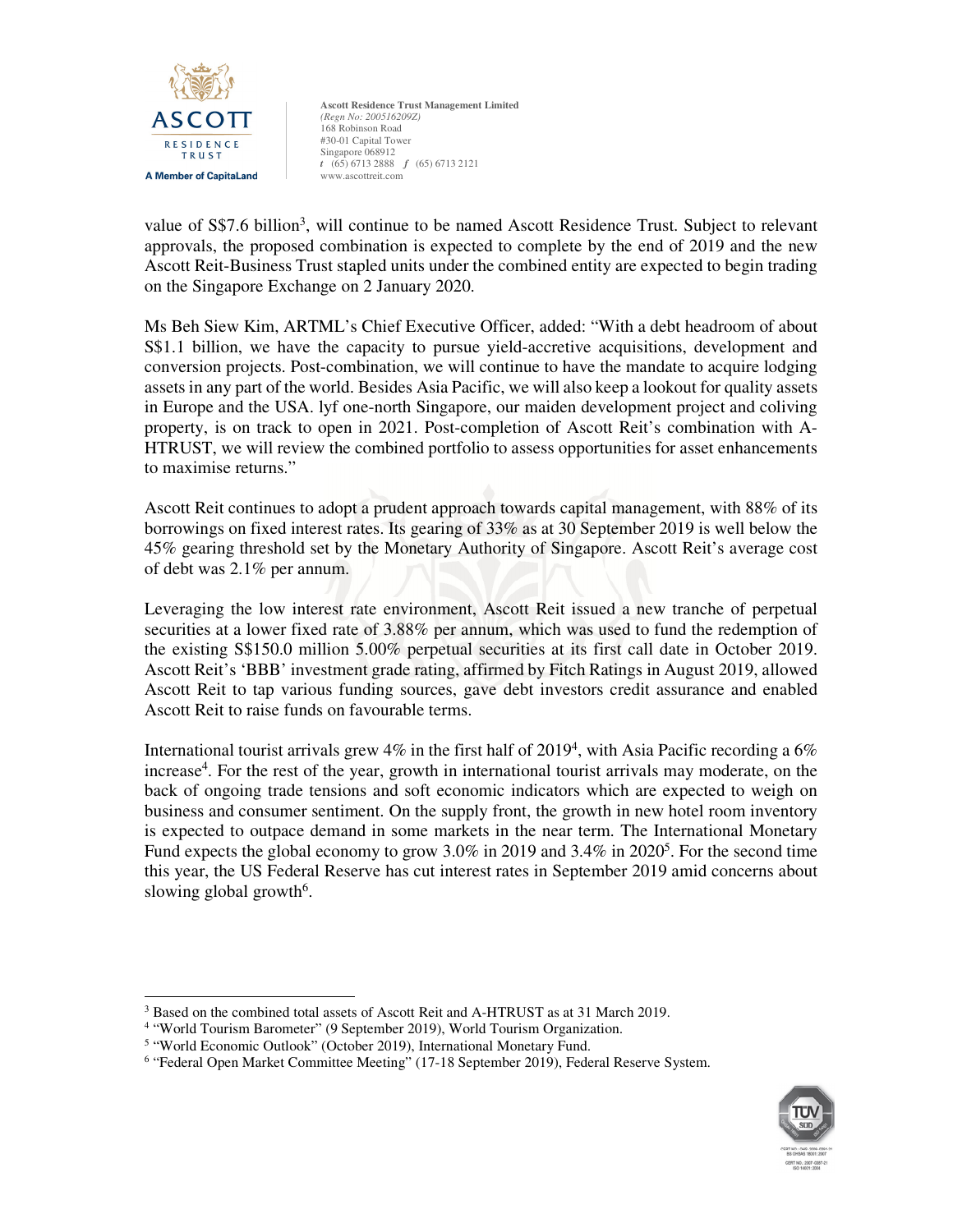

value of S\$7.6 billion<sup>3</sup>, will continue to be named Ascott Residence Trust. Subject to relevant approvals, the proposed combination is expected to complete by the end of 2019 and the new Ascott Reit-Business Trust stapled units under the combined entity are expected to begin trading on the Singapore Exchange on 2 January 2020.

Ms Beh Siew Kim, ARTML's Chief Executive Officer, added: "With a debt headroom of about S\$1.1 billion, we have the capacity to pursue yield-accretive acquisitions, development and conversion projects. Post-combination, we will continue to have the mandate to acquire lodging assets in any part of the world. Besides Asia Pacific, we will also keep a lookout for quality assets in Europe and the USA. lyf one-north Singapore, our maiden development project and coliving property, is on track to open in 2021. Post-completion of Ascott Reit's combination with A-HTRUST, we will review the combined portfolio to assess opportunities for asset enhancements to maximise returns."

Ascott Reit continues to adopt a prudent approach towards capital management, with 88% of its borrowings on fixed interest rates. Its gearing of 33% as at 30 September 2019 is well below the 45% gearing threshold set by the Monetary Authority of Singapore. Ascott Reit's average cost of debt was 2.1% per annum.

Leveraging the low interest rate environment, Ascott Reit issued a new tranche of perpetual securities at a lower fixed rate of 3.88% per annum, which was used to fund the redemption of the existing S\$150.0 million 5.00% perpetual securities at its first call date in October 2019. Ascott Reit's 'BBB' investment grade rating, affirmed by Fitch Ratings in August 2019, allowed Ascott Reit to tap various funding sources, gave debt investors credit assurance and enabled Ascott Reit to raise funds on favourable terms.

International tourist arrivals grew 4% in the first half of 2019<sup>4</sup>, with Asia Pacific recording a 6% increase<sup>4</sup>. For the rest of the year, growth in international tourist arrivals may moderate, on the back of ongoing trade tensions and soft economic indicators which are expected to weigh on business and consumer sentiment. On the supply front, the growth in new hotel room inventory is expected to outpace demand in some markets in the near term. The International Monetary Fund expects the global economy to grow  $3.0\%$  in 2019 and  $3.4\%$  in 2020<sup>5</sup>. For the second time this year, the US Federal Reserve has cut interest rates in September 2019 amid concerns about slowing global growth<sup>6</sup>.

<u>.</u>

<sup>&</sup>lt;sup>6</sup> "Federal Open Market Committee Meeting" (17-18 September 2019), Federal Reserve System.



<sup>&</sup>lt;sup>3</sup> Based on the combined total assets of Ascott Reit and A-HTRUST as at 31 March 2019.

<sup>&</sup>lt;sup>4</sup> "World Tourism Barometer" (9 September 2019), World Tourism Organization.

<sup>&</sup>lt;sup>5</sup> "World Economic Outlook" (October 2019), International Monetary Fund.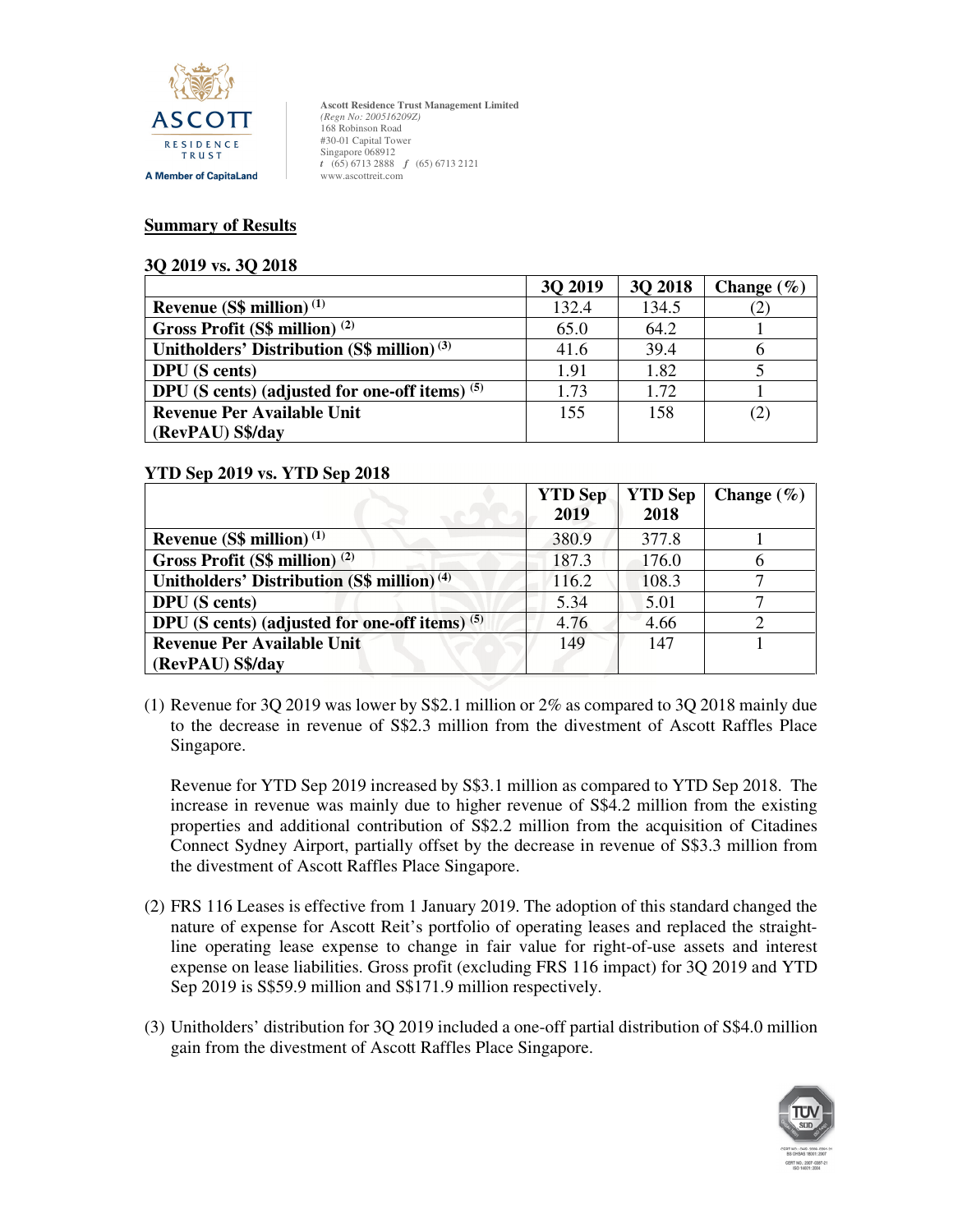

#### **Summary of Results**

#### **3Q 2019 vs. 3Q 2018**

|                                                  | 3Q 2019 | 30 2018 | Change $(\% )$ |
|--------------------------------------------------|---------|---------|----------------|
| Revenue $(S\$ million) <sup>(1)</sup>            | 132.4   | 134.5   | (2)            |
| Gross Profit (S\$ million) $(2)$                 | 65.0    | 64.2    |                |
| Unitholders' Distribution $(S\$ million) $(3)$   | 41.6    | 39.4    |                |
| <b>DPU</b> (S cents)                             | 1.91    | 1.82    |                |
| DPU (S cents) (adjusted for one-off items) $(5)$ | 1.73    | 1.72    |                |
| <b>Revenue Per Available Unit</b>                | 155     | 158     | (2)            |
| (RevPAU) S\$/day                                 |         |         |                |

### **YTD Sep 2019 vs. YTD Sep 2018**

| <b>YTD</b> Sep<br>2019 | <b>YTD Sep</b><br>2018 | Change $(\% )$ |
|------------------------|------------------------|----------------|
| 380.9                  | 377.8                  |                |
| 187.3                  | 176.0                  |                |
| 116.2                  | 108.3                  |                |
| 5.34                   | 5.01                   |                |
| 4.76                   | 4.66                   |                |
| 149                    | 147                    |                |
|                        |                        |                |

(1) Revenue for 3Q 2019 was lower by S\$2.1 million or 2% as compared to 3Q 2018 mainly due to the decrease in revenue of S\$2.3 million from the divestment of Ascott Raffles Place Singapore.

Revenue for YTD Sep 2019 increased by S\$3.1 million as compared to YTD Sep 2018. The increase in revenue was mainly due to higher revenue of S\$4.2 million from the existing properties and additional contribution of S\$2.2 million from the acquisition of Citadines Connect Sydney Airport, partially offset by the decrease in revenue of S\$3.3 million from the divestment of Ascott Raffles Place Singapore.

- (2) FRS 116 Leases is effective from 1 January 2019. The adoption of this standard changed the nature of expense for Ascott Reit's portfolio of operating leases and replaced the straightline operating lease expense to change in fair value for right-of-use assets and interest expense on lease liabilities. Gross profit (excluding FRS 116 impact) for 3Q 2019 and YTD Sep 2019 is S\$59.9 million and S\$171.9 million respectively.
- (3) Unitholders' distribution for 3Q 2019 included a one-off partial distribution of S\$4.0 million gain from the divestment of Ascott Raffles Place Singapore.

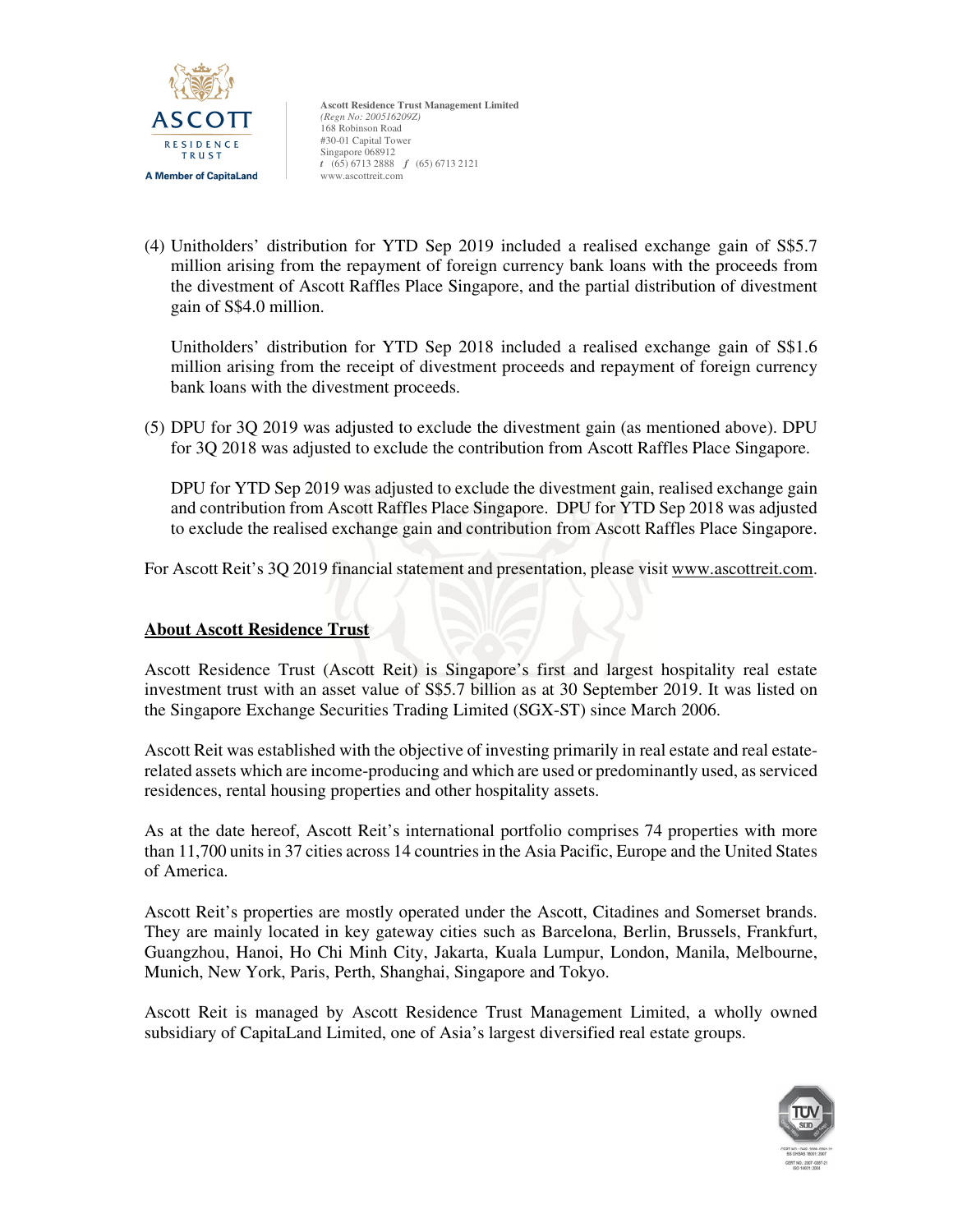

(4) Unitholders' distribution for YTD Sep 2019 included a realised exchange gain of S\$5.7 million arising from the repayment of foreign currency bank loans with the proceeds from the divestment of Ascott Raffles Place Singapore, and the partial distribution of divestment gain of S\$4.0 million.

Unitholders' distribution for YTD Sep 2018 included a realised exchange gain of S\$1.6 million arising from the receipt of divestment proceeds and repayment of foreign currency bank loans with the divestment proceeds.

(5) DPU for 3Q 2019 was adjusted to exclude the divestment gain (as mentioned above). DPU for 3Q 2018 was adjusted to exclude the contribution from Ascott Raffles Place Singapore.

DPU for YTD Sep 2019 was adjusted to exclude the divestment gain, realised exchange gain and contribution from Ascott Raffles Place Singapore. DPU for YTD Sep 2018 was adjusted to exclude the realised exchange gain and contribution from Ascott Raffles Place Singapore.

For Ascott Reit's 3Q 2019 financial statement and presentation, please visit www.ascottreit.com.

# **About Ascott Residence Trust**

Ascott Residence Trust (Ascott Reit) is Singapore's first and largest hospitality real estate investment trust with an asset value of S\$5.7 billion as at 30 September 2019. It was listed on the Singapore Exchange Securities Trading Limited (SGX-ST) since March 2006.

Ascott Reit was established with the objective of investing primarily in real estate and real estaterelated assets which are income-producing and which are used or predominantly used, as serviced residences, rental housing properties and other hospitality assets.

As at the date hereof, Ascott Reit's international portfolio comprises 74 properties with more than 11,700 units in 37 cities across 14 countries in the Asia Pacific, Europe and the United States of America.

Ascott Reit's properties are mostly operated under the Ascott, Citadines and Somerset brands. They are mainly located in key gateway cities such as Barcelona, Berlin, Brussels, Frankfurt, Guangzhou, Hanoi, Ho Chi Minh City, Jakarta, Kuala Lumpur, London, Manila, Melbourne, Munich, New York, Paris, Perth, Shanghai, Singapore and Tokyo.

Ascott Reit is managed by Ascott Residence Trust Management Limited, a wholly owned subsidiary of CapitaLand Limited, one of Asia's largest diversified real estate groups.

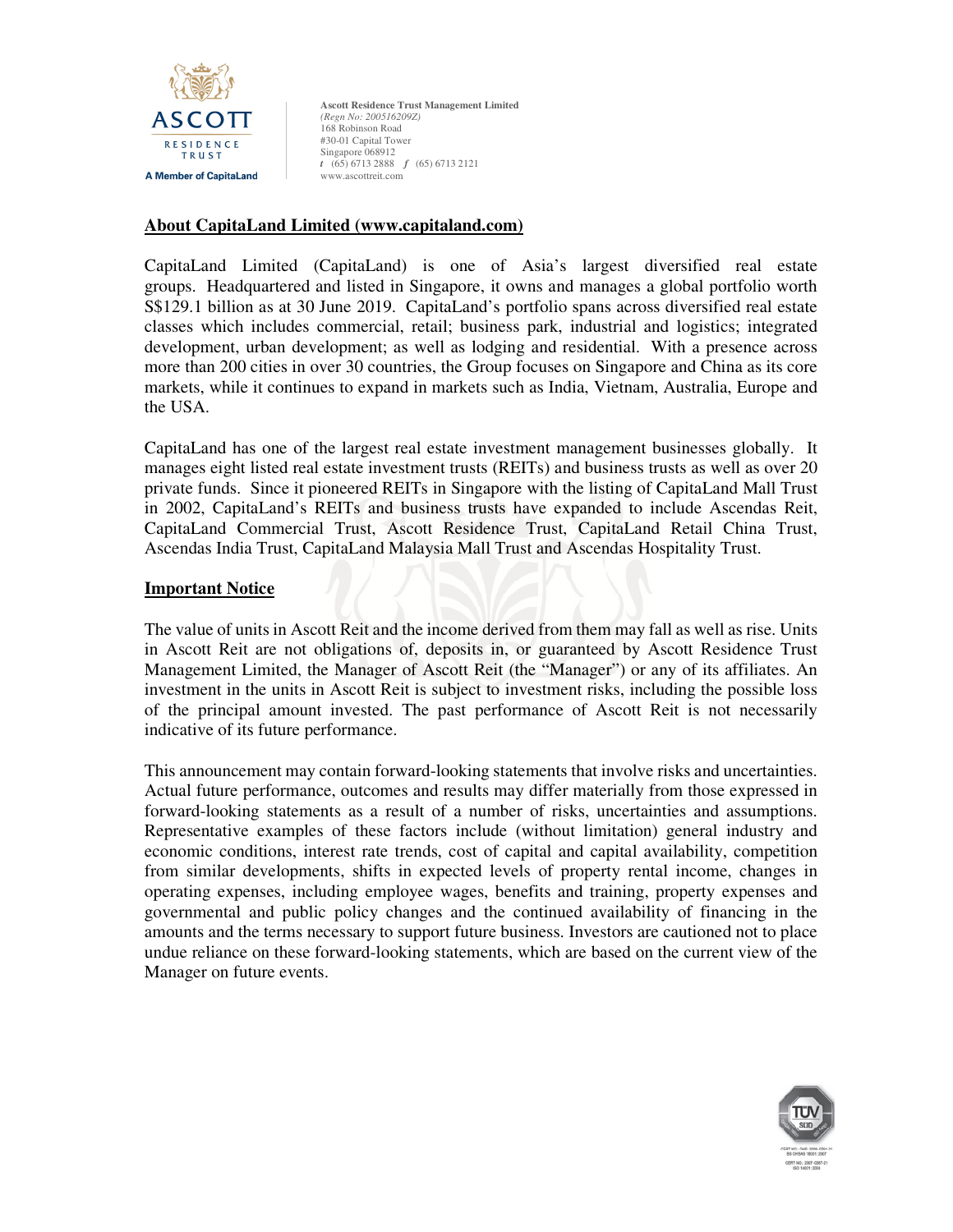

### **About CapitaLand Limited (www.capitaland.com)**

CapitaLand Limited (CapitaLand) is one of Asia's largest diversified real estate groups. Headquartered and listed in Singapore, it owns and manages a global portfolio worth S\$129.1 billion as at 30 June 2019. CapitaLand's portfolio spans across diversified real estate classes which includes commercial, retail; business park, industrial and logistics; integrated development, urban development; as well as lodging and residential. With a presence across more than 200 cities in over 30 countries, the Group focuses on Singapore and China as its core markets, while it continues to expand in markets such as India, Vietnam, Australia, Europe and the USA.

CapitaLand has one of the largest real estate investment management businesses globally. It manages eight listed real estate investment trusts (REITs) and business trusts as well as over 20 private funds. Since it pioneered REITs in Singapore with the listing of CapitaLand Mall Trust in 2002, CapitaLand's REITs and business trusts have expanded to include Ascendas Reit, CapitaLand Commercial Trust, Ascott Residence Trust, CapitaLand Retail China Trust, Ascendas India Trust, CapitaLand Malaysia Mall Trust and Ascendas Hospitality Trust.

## **Important Notice**

The value of units in Ascott Reit and the income derived from them may fall as well as rise. Units in Ascott Reit are not obligations of, deposits in, or guaranteed by Ascott Residence Trust Management Limited, the Manager of Ascott Reit (the "Manager") or any of its affiliates. An investment in the units in Ascott Reit is subject to investment risks, including the possible loss of the principal amount invested. The past performance of Ascott Reit is not necessarily indicative of its future performance.

This announcement may contain forward-looking statements that involve risks and uncertainties. Actual future performance, outcomes and results may differ materially from those expressed in forward-looking statements as a result of a number of risks, uncertainties and assumptions. Representative examples of these factors include (without limitation) general industry and economic conditions, interest rate trends, cost of capital and capital availability, competition from similar developments, shifts in expected levels of property rental income, changes in operating expenses, including employee wages, benefits and training, property expenses and governmental and public policy changes and the continued availability of financing in the amounts and the terms necessary to support future business. Investors are cautioned not to place undue reliance on these forward-looking statements, which are based on the current view of the Manager on future events.